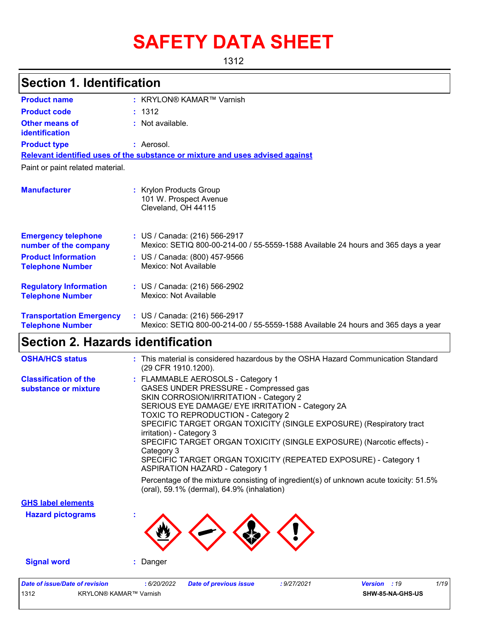# **SAFETY DATA SHEET**

1312

## **Section 1. Identification**

| <b>Product name</b>                                        | : KRYLON® KAMAR™ Varnish                                                                                           |
|------------------------------------------------------------|--------------------------------------------------------------------------------------------------------------------|
| <b>Product code</b>                                        | : 1312                                                                                                             |
| <b>Other means of</b><br>identification                    | : Not available.                                                                                                   |
| <b>Product type</b>                                        | : Aerosol.                                                                                                         |
|                                                            | Relevant identified uses of the substance or mixture and uses advised against                                      |
| Paint or paint related material.                           |                                                                                                                    |
| <b>Manufacturer</b>                                        | : Krylon Products Group<br>101 W. Prospect Avenue<br>Cleveland, OH 44115                                           |
| <b>Emergency telephone</b><br>number of the company        | : US / Canada: (216) 566-2917<br>Mexico: SETIQ 800-00-214-00 / 55-5559-1588 Available 24 hours and 365 days a year |
| <b>Product Information</b><br><b>Telephone Number</b>      | : US / Canada: (800) 457-9566<br>Mexico: Not Available                                                             |
| <b>Regulatory Information</b><br><b>Telephone Number</b>   | : US / Canada: (216) 566-2902<br>Mexico: Not Available                                                             |
| <b>Transportation Emergency</b><br><b>Telephone Number</b> | : US / Canada: (216) 566-2917<br>Mexico: SETIQ 800-00-214-00 / 55-5559-1588 Available 24 hours and 365 days a year |

# **Section 2. Hazards identification**

| <b>OSHA/HCS status</b>                               | : This material is considered hazardous by the OSHA Hazard Communication Standard<br>(29 CFR 1910.1200).                                                                                                                                                                                                                                                                                                                                                                                                                                                                                                                                                     |  |  |  |  |  |  |
|------------------------------------------------------|--------------------------------------------------------------------------------------------------------------------------------------------------------------------------------------------------------------------------------------------------------------------------------------------------------------------------------------------------------------------------------------------------------------------------------------------------------------------------------------------------------------------------------------------------------------------------------------------------------------------------------------------------------------|--|--|--|--|--|--|
| <b>Classification of the</b><br>substance or mixture | : FLAMMABLE AEROSOLS - Category 1<br>GASES UNDER PRESSURE - Compressed gas<br>SKIN CORROSION/IRRITATION - Category 2<br>SERIOUS EYE DAMAGE/ EYE IRRITATION - Category 2A<br>TOXIC TO REPRODUCTION - Category 2<br>SPECIFIC TARGET ORGAN TOXICITY (SINGLE EXPOSURE) (Respiratory tract<br>irritation) - Category 3<br>SPECIFIC TARGET ORGAN TOXICITY (SINGLE EXPOSURE) (Narcotic effects) -<br>Category 3<br>SPECIFIC TARGET ORGAN TOXICITY (REPEATED EXPOSURE) - Category 1<br><b>ASPIRATION HAZARD - Category 1</b><br>Percentage of the mixture consisting of ingredient(s) of unknown acute toxicity: 51.5%<br>(oral), 59.1% (dermal), 64.9% (inhalation) |  |  |  |  |  |  |
| <b>GHS label elements</b>                            |                                                                                                                                                                                                                                                                                                                                                                                                                                                                                                                                                                                                                                                              |  |  |  |  |  |  |
| <b>Hazard pictograms</b>                             |                                                                                                                                                                                                                                                                                                                                                                                                                                                                                                                                                                                                                                                              |  |  |  |  |  |  |
| <b>Signal word</b>                                   | : Danger                                                                                                                                                                                                                                                                                                                                                                                                                                                                                                                                                                                                                                                     |  |  |  |  |  |  |
| <b>Date of issue/Date of revision</b>                | 1/19<br>: 6/20/2022<br><b>Date of previous issue</b><br>: 9/27/2021<br><b>Version</b><br>:19                                                                                                                                                                                                                                                                                                                                                                                                                                                                                                                                                                 |  |  |  |  |  |  |
|                                                      |                                                                                                                                                                                                                                                                                                                                                                                                                                                                                                                                                                                                                                                              |  |  |  |  |  |  |

1312 KRYLON® KAMAR™ Varnish **SHW-85-NA-GHS-US**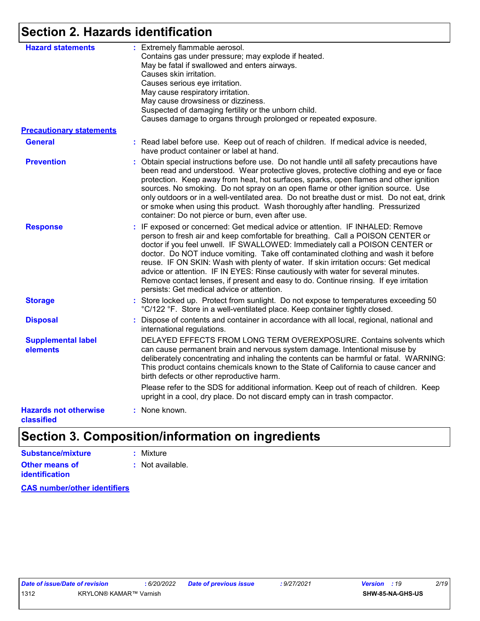### **Section 2. Hazards identification**

| <b>Hazard statements</b>                   | : Extremely flammable aerosol.<br>Contains gas under pressure; may explode if heated.<br>May be fatal if swallowed and enters airways.<br>Causes skin irritation.<br>Causes serious eye irritation.<br>May cause respiratory irritation.<br>May cause drowsiness or dizziness.<br>Suspected of damaging fertility or the unborn child.<br>Causes damage to organs through prolonged or repeated exposure.                                                                                                                                                                                                                                                  |
|--------------------------------------------|------------------------------------------------------------------------------------------------------------------------------------------------------------------------------------------------------------------------------------------------------------------------------------------------------------------------------------------------------------------------------------------------------------------------------------------------------------------------------------------------------------------------------------------------------------------------------------------------------------------------------------------------------------|
| <b>Precautionary statements</b>            |                                                                                                                                                                                                                                                                                                                                                                                                                                                                                                                                                                                                                                                            |
| <b>General</b>                             | : Read label before use. Keep out of reach of children. If medical advice is needed,<br>have product container or label at hand.                                                                                                                                                                                                                                                                                                                                                                                                                                                                                                                           |
| <b>Prevention</b>                          | : Obtain special instructions before use. Do not handle until all safety precautions have<br>been read and understood. Wear protective gloves, protective clothing and eye or face<br>protection. Keep away from heat, hot surfaces, sparks, open flames and other ignition<br>sources. No smoking. Do not spray on an open flame or other ignition source. Use<br>only outdoors or in a well-ventilated area. Do not breathe dust or mist. Do not eat, drink<br>or smoke when using this product. Wash thoroughly after handling. Pressurized<br>container: Do not pierce or burn, even after use.                                                        |
| <b>Response</b>                            | : IF exposed or concerned: Get medical advice or attention. IF INHALED: Remove<br>person to fresh air and keep comfortable for breathing. Call a POISON CENTER or<br>doctor if you feel unwell. IF SWALLOWED: Immediately call a POISON CENTER or<br>doctor. Do NOT induce vomiting. Take off contaminated clothing and wash it before<br>reuse. IF ON SKIN: Wash with plenty of water. If skin irritation occurs: Get medical<br>advice or attention. IF IN EYES: Rinse cautiously with water for several minutes.<br>Remove contact lenses, if present and easy to do. Continue rinsing. If eye irritation<br>persists: Get medical advice or attention. |
| <b>Storage</b>                             | : Store locked up. Protect from sunlight. Do not expose to temperatures exceeding 50<br>°C/122 °F. Store in a well-ventilated place. Keep container tightly closed.                                                                                                                                                                                                                                                                                                                                                                                                                                                                                        |
| <b>Disposal</b>                            | : Dispose of contents and container in accordance with all local, regional, national and<br>international regulations.                                                                                                                                                                                                                                                                                                                                                                                                                                                                                                                                     |
| <b>Supplemental label</b><br>elements      | DELAYED EFFECTS FROM LONG TERM OVEREXPOSURE. Contains solvents which<br>can cause permanent brain and nervous system damage. Intentional misuse by<br>deliberately concentrating and inhaling the contents can be harmful or fatal. WARNING:<br>This product contains chemicals known to the State of California to cause cancer and<br>birth defects or other reproductive harm.                                                                                                                                                                                                                                                                          |
|                                            | Please refer to the SDS for additional information. Keep out of reach of children. Keep<br>upright in a cool, dry place. Do not discard empty can in trash compactor.                                                                                                                                                                                                                                                                                                                                                                                                                                                                                      |
| <b>Hazards not otherwise</b><br>classified | : None known.                                                                                                                                                                                                                                                                                                                                                                                                                                                                                                                                                                                                                                              |

### **Section 3. Composition/information on ingredients**

| Substance/mixture                       | : Mixture        |
|-----------------------------------------|------------------|
| Other means of<br><b>identification</b> | : Not available. |

**CAS number/other identifiers**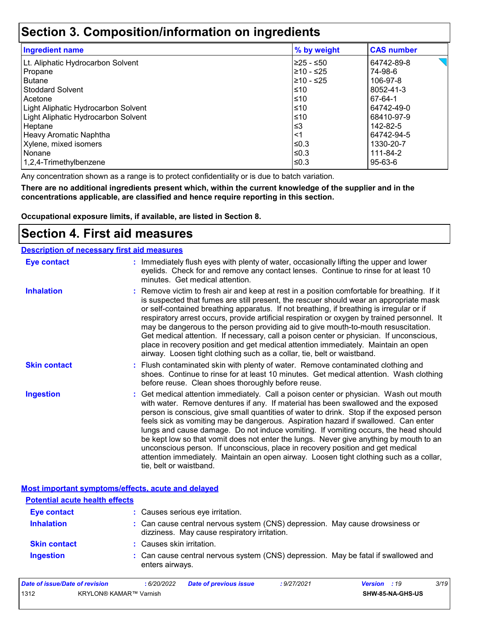### **Section 3. Composition/information on ingredients**

| <b>Ingredient name</b>              | % by weight | <b>CAS number</b> |
|-------------------------------------|-------------|-------------------|
| Lt. Aliphatic Hydrocarbon Solvent   | l≥25 - ≤50  | 64742-89-8        |
| Propane                             | l≥10 - ≤25  | 74-98-6           |
| <b>Butane</b>                       | l≥10 - ≤25  | 106-97-8          |
| <b>Stoddard Solvent</b>             | ≤10         | 8052-41-3         |
| Acetone                             | ≤10         | 67-64-1           |
| Light Aliphatic Hydrocarbon Solvent | ≤10         | 64742-49-0        |
| Light Aliphatic Hydrocarbon Solvent | ≤10         | 68410-97-9        |
| Heptane                             | $\leq$ 3    | 142-82-5          |
| Heavy Aromatic Naphtha              | $<$ 1       | 64742-94-5        |
| Xylene, mixed isomers               | l≤0.3       | 1330-20-7         |
| Nonane                              | l≤0.3       | 111-84-2          |
| 1,2,4-Trimethylbenzene              | ≤0.3        | 95-63-6           |

Any concentration shown as a range is to protect confidentiality or is due to batch variation.

**There are no additional ingredients present which, within the current knowledge of the supplier and in the concentrations applicable, are classified and hence require reporting in this section.**

**Occupational exposure limits, if available, are listed in Section 8.**

### **Section 4. First aid measures**

| <b>Description of necessary first aid measures</b> |                                                                                                                                                                                                                                                                                                                                                                                                                                                                                                                                                                                                                                                                                                                                                         |
|----------------------------------------------------|---------------------------------------------------------------------------------------------------------------------------------------------------------------------------------------------------------------------------------------------------------------------------------------------------------------------------------------------------------------------------------------------------------------------------------------------------------------------------------------------------------------------------------------------------------------------------------------------------------------------------------------------------------------------------------------------------------------------------------------------------------|
| <b>Eye contact</b>                                 | : Immediately flush eyes with plenty of water, occasionally lifting the upper and lower<br>eyelids. Check for and remove any contact lenses. Continue to rinse for at least 10<br>minutes. Get medical attention.                                                                                                                                                                                                                                                                                                                                                                                                                                                                                                                                       |
| <b>Inhalation</b>                                  | : Remove victim to fresh air and keep at rest in a position comfortable for breathing. If it<br>is suspected that fumes are still present, the rescuer should wear an appropriate mask<br>or self-contained breathing apparatus. If not breathing, if breathing is irregular or if<br>respiratory arrest occurs, provide artificial respiration or oxygen by trained personnel. It<br>may be dangerous to the person providing aid to give mouth-to-mouth resuscitation.<br>Get medical attention. If necessary, call a poison center or physician. If unconscious,<br>place in recovery position and get medical attention immediately. Maintain an open<br>airway. Loosen tight clothing such as a collar, tie, belt or waistband.                    |
| <b>Skin contact</b>                                | : Flush contaminated skin with plenty of water. Remove contaminated clothing and<br>shoes. Continue to rinse for at least 10 minutes. Get medical attention. Wash clothing<br>before reuse. Clean shoes thoroughly before reuse.                                                                                                                                                                                                                                                                                                                                                                                                                                                                                                                        |
| <b>Ingestion</b>                                   | : Get medical attention immediately. Call a poison center or physician. Wash out mouth<br>with water. Remove dentures if any. If material has been swallowed and the exposed<br>person is conscious, give small quantities of water to drink. Stop if the exposed person<br>feels sick as vomiting may be dangerous. Aspiration hazard if swallowed. Can enter<br>lungs and cause damage. Do not induce vomiting. If vomiting occurs, the head should<br>be kept low so that vomit does not enter the lungs. Never give anything by mouth to an<br>unconscious person. If unconscious, place in recovery position and get medical<br>attention immediately. Maintain an open airway. Loosen tight clothing such as a collar,<br>tie, belt or waistband. |

**Most important symptoms/effects, acute and delayed**

| <b>Potential acute health effects</b> |                                                                                                                              |  |
|---------------------------------------|------------------------------------------------------------------------------------------------------------------------------|--|
| <b>Eye contact</b>                    | : Causes serious eye irritation.                                                                                             |  |
| <b>Inhalation</b>                     | : Can cause central nervous system (CNS) depression. May cause drowsiness or<br>dizziness. May cause respiratory irritation. |  |
| <b>Skin contact</b>                   | : Causes skin irritation.                                                                                                    |  |
| <b>Ingestion</b>                      | : Can cause central nervous system (CNS) depression. May be fatal if swallowed and<br>enters airways.                        |  |

| Date of issue/Date of revision |                               | 6/20/2022 | <b>Date of previous issue</b> | : 9/27/2021 | <b>Version</b> : 19 |                  | 3/19 |
|--------------------------------|-------------------------------|-----------|-------------------------------|-------------|---------------------|------------------|------|
| 1312                           | <b>KRYLON® KAMAR™ Varnish</b> |           |                               |             |                     | SHW-85-NA-GHS-US |      |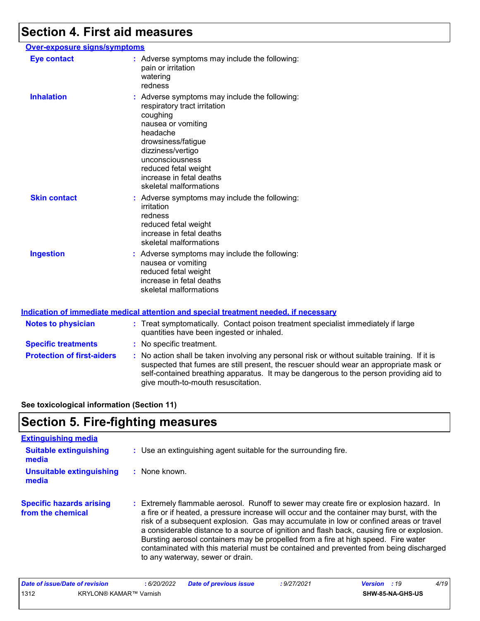### **Section 4. First aid measures**

#### **Over-exposure signs/symptoms Skin contact Ingestion Inhalation binds of the symptoms may include the following:** respiratory tract irritation coughing nausea or vomiting headache drowsiness/fatigue dizziness/vertigo unconsciousness reduced fetal weight increase in fetal deaths skeletal malformations Adverse symptoms may include the following: **:** nausea or vomiting reduced fetal weight increase in fetal deaths skeletal malformations Adverse symptoms may include the following: **:** irritation redness reduced fetal weight increase in fetal deaths skeletal malformations **Eye contact :** Adverse symptoms may include the following: pain or irritation watering redness

|                                   | Indication of immediate medical attention and special treatment needed, if necessary                                                                                                                                                                                                                                    |
|-----------------------------------|-------------------------------------------------------------------------------------------------------------------------------------------------------------------------------------------------------------------------------------------------------------------------------------------------------------------------|
| <b>Notes to physician</b>         | : Treat symptomatically. Contact poison treatment specialist immediately if large<br>quantities have been ingested or inhaled.                                                                                                                                                                                          |
| <b>Specific treatments</b>        | : No specific treatment.                                                                                                                                                                                                                                                                                                |
| <b>Protection of first-aiders</b> | : No action shall be taken involving any personal risk or without suitable training. If it is<br>suspected that fumes are still present, the rescuer should wear an appropriate mask or<br>self-contained breathing apparatus. It may be dangerous to the person providing aid to<br>give mouth-to-mouth resuscitation. |

#### **See toxicological information (Section 11)**

### **Section 5. Fire-fighting measures**

| <b>Extinguishing media</b>                           |                                                                                                                                                                                                                                                                                                                                                                                                                                                                                                                                                                                               |
|------------------------------------------------------|-----------------------------------------------------------------------------------------------------------------------------------------------------------------------------------------------------------------------------------------------------------------------------------------------------------------------------------------------------------------------------------------------------------------------------------------------------------------------------------------------------------------------------------------------------------------------------------------------|
| <b>Suitable extinguishing</b><br>media               | : Use an extinguishing agent suitable for the surrounding fire.                                                                                                                                                                                                                                                                                                                                                                                                                                                                                                                               |
| <b>Unsuitable extinguishing</b><br>media             | : None known.                                                                                                                                                                                                                                                                                                                                                                                                                                                                                                                                                                                 |
| <b>Specific hazards arising</b><br>from the chemical | : Extremely flammable aerosol. Runoff to sewer may create fire or explosion hazard. In<br>a fire or if heated, a pressure increase will occur and the container may burst, with the<br>risk of a subsequent explosion. Gas may accumulate in low or confined areas or travel<br>a considerable distance to a source of ignition and flash back, causing fire or explosion.<br>Bursting aerosol containers may be propelled from a fire at high speed. Fire water<br>contaminated with this material must be contained and prevented from being discharged<br>to any waterway, sewer or drain. |

| Date of issue/Date of revision |                        | 6/20/2022 | Date of previous issue | : 9/27/2021 | <b>Version</b> : 19 |                  | 4/19 |
|--------------------------------|------------------------|-----------|------------------------|-------------|---------------------|------------------|------|
| 1312                           | KRYLON® KAMAR™ Varnish |           |                        |             |                     | SHW-85-NA-GHS-US |      |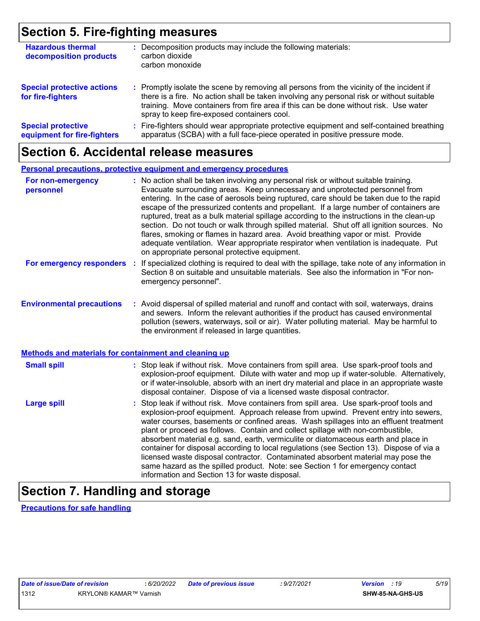### **Section 5. Fire-fighting measures**

| <b>Hazardous thermal</b><br>decomposition products       | Decomposition products may include the following materials:<br>carbon dioxide<br>carbon monoxide                                                                                                                                                                                                                              |
|----------------------------------------------------------|-------------------------------------------------------------------------------------------------------------------------------------------------------------------------------------------------------------------------------------------------------------------------------------------------------------------------------|
| <b>Special protective actions</b><br>for fire-fighters   | : Promptly isolate the scene by removing all persons from the vicinity of the incident if<br>there is a fire. No action shall be taken involving any personal risk or without suitable<br>training. Move containers from fire area if this can be done without risk. Use water<br>spray to keep fire-exposed containers cool. |
| <b>Special protective</b><br>equipment for fire-fighters | : Fire-fighters should wear appropriate protective equipment and self-contained breathing<br>apparatus (SCBA) with a full face-piece operated in positive pressure mode.                                                                                                                                                      |

### **Section 6. Accidental release measures**

|                                                              |    | <b>Personal precautions, protective equipment and emergency procedures</b>                                                                                                                                                                                                                                                                                                                                                                                                                                                                                                                                                                                                                                                                                                       |
|--------------------------------------------------------------|----|----------------------------------------------------------------------------------------------------------------------------------------------------------------------------------------------------------------------------------------------------------------------------------------------------------------------------------------------------------------------------------------------------------------------------------------------------------------------------------------------------------------------------------------------------------------------------------------------------------------------------------------------------------------------------------------------------------------------------------------------------------------------------------|
| For non-emergency<br>personnel                               |    | : No action shall be taken involving any personal risk or without suitable training.<br>Evacuate surrounding areas. Keep unnecessary and unprotected personnel from<br>entering. In the case of aerosols being ruptured, care should be taken due to the rapid<br>escape of the pressurized contents and propellant. If a large number of containers are<br>ruptured, treat as a bulk material spillage according to the instructions in the clean-up<br>section. Do not touch or walk through spilled material. Shut off all ignition sources. No<br>flares, smoking or flames in hazard area. Avoid breathing vapor or mist. Provide<br>adequate ventilation. Wear appropriate respirator when ventilation is inadequate. Put<br>on appropriate personal protective equipment. |
| For emergency responders                                     | ÷. | If specialized clothing is required to deal with the spillage, take note of any information in<br>Section 8 on suitable and unsuitable materials. See also the information in "For non-<br>emergency personnel".                                                                                                                                                                                                                                                                                                                                                                                                                                                                                                                                                                 |
| <b>Environmental precautions</b>                             |    | : Avoid dispersal of spilled material and runoff and contact with soil, waterways, drains<br>and sewers. Inform the relevant authorities if the product has caused environmental<br>pollution (sewers, waterways, soil or air). Water polluting material. May be harmful to<br>the environment if released in large quantities.                                                                                                                                                                                                                                                                                                                                                                                                                                                  |
| <b>Methods and materials for containment and cleaning up</b> |    |                                                                                                                                                                                                                                                                                                                                                                                                                                                                                                                                                                                                                                                                                                                                                                                  |
| <b>Small spill</b>                                           |    | : Stop leak if without risk. Move containers from spill area. Use spark-proof tools and<br>explosion-proof equipment. Dilute with water and mop up if water-soluble. Alternatively,<br>or if water-insoluble, absorb with an inert dry material and place in an appropriate waste<br>disposal container. Dispose of via a licensed waste disposal contractor.                                                                                                                                                                                                                                                                                                                                                                                                                    |
| <b>Large spill</b>                                           |    | Stop leak if without risk. Move containers from spill area. Use spark-proof tools and<br>explosion-proof equipment. Approach release from upwind. Prevent entry into sewers,<br>water courses, basements or confined areas. Wash spillages into an effluent treatment<br>plant or proceed as follows. Contain and collect spillage with non-combustible,<br>absorbent material e.g. sand, earth, vermiculite or diatomaceous earth and place in<br>container for disposal according to local regulations (see Section 13). Dispose of via a<br>licensed waste disposal contractor. Contaminated absorbent material may pose the<br>same hazard as the spilled product. Note: see Section 1 for emergency contact<br>information and Section 13 for waste disposal.               |

### **Section 7. Handling and storage**

**Precautions for safe handling**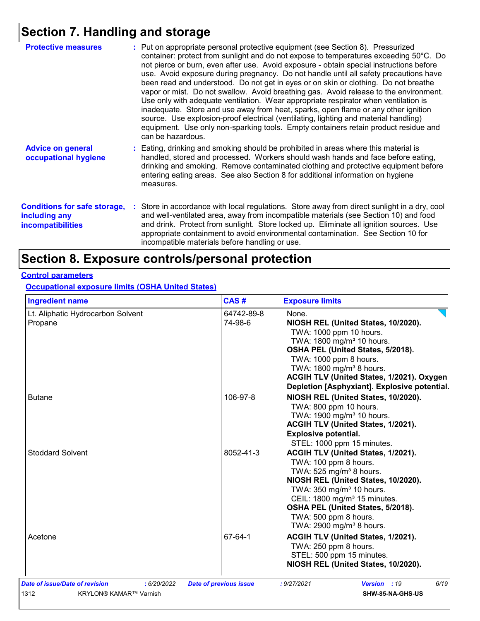# **Section 7. Handling and storage**

| <b>Protective measures</b>                                                       | : Put on appropriate personal protective equipment (see Section 8). Pressurized<br>container: protect from sunlight and do not expose to temperatures exceeding 50°C. Do<br>not pierce or burn, even after use. Avoid exposure - obtain special instructions before<br>use. Avoid exposure during pregnancy. Do not handle until all safety precautions have<br>been read and understood. Do not get in eyes or on skin or clothing. Do not breathe<br>vapor or mist. Do not swallow. Avoid breathing gas. Avoid release to the environment.<br>Use only with adequate ventilation. Wear appropriate respirator when ventilation is<br>inadequate. Store and use away from heat, sparks, open flame or any other ignition<br>source. Use explosion-proof electrical (ventilating, lighting and material handling)<br>equipment. Use only non-sparking tools. Empty containers retain product residue and<br>can be hazardous. |
|----------------------------------------------------------------------------------|-------------------------------------------------------------------------------------------------------------------------------------------------------------------------------------------------------------------------------------------------------------------------------------------------------------------------------------------------------------------------------------------------------------------------------------------------------------------------------------------------------------------------------------------------------------------------------------------------------------------------------------------------------------------------------------------------------------------------------------------------------------------------------------------------------------------------------------------------------------------------------------------------------------------------------|
| <b>Advice on general</b><br>occupational hygiene                                 | : Eating, drinking and smoking should be prohibited in areas where this material is<br>handled, stored and processed. Workers should wash hands and face before eating,<br>drinking and smoking. Remove contaminated clothing and protective equipment before<br>entering eating areas. See also Section 8 for additional information on hygiene<br>measures.                                                                                                                                                                                                                                                                                                                                                                                                                                                                                                                                                                 |
| <b>Conditions for safe storage,</b><br>including any<br><i>incompatibilities</i> | : Store in accordance with local regulations. Store away from direct sunlight in a dry, cool<br>and well-ventilated area, away from incompatible materials (see Section 10) and food<br>and drink. Protect from sunlight. Store locked up. Eliminate all ignition sources. Use<br>appropriate containment to avoid environmental contamination. See Section 10 for<br>incompatible materials before handling or use.                                                                                                                                                                                                                                                                                                                                                                                                                                                                                                          |

# **Section 8. Exposure controls/personal protection**

#### **Control parameters**

#### **Occupational exposure limits (OSHA United States)**

| <b>Ingredient name</b>                                                                 | CAS#                          | <b>Exposure limits</b>                                                                                                                                                                                                                                                                                                                |
|----------------------------------------------------------------------------------------|-------------------------------|---------------------------------------------------------------------------------------------------------------------------------------------------------------------------------------------------------------------------------------------------------------------------------------------------------------------------------------|
| Lt. Aliphatic Hydrocarbon Solvent<br>Propane                                           | 64742-89-8<br>74-98-6         | None.<br>NIOSH REL (United States, 10/2020).<br>TWA: 1000 ppm 10 hours.<br>TWA: 1800 mg/m <sup>3</sup> 10 hours.<br>OSHA PEL (United States, 5/2018).<br>TWA: 1000 ppm 8 hours.<br>TWA: 1800 mg/m <sup>3</sup> 8 hours.<br>ACGIH TLV (United States, 1/2021). Oxygen<br>Depletion [Asphyxiant]. Explosive potential.                  |
| <b>Butane</b>                                                                          | 106-97-8                      | NIOSH REL (United States, 10/2020).<br>TWA: 800 ppm 10 hours.<br>TWA: 1900 mg/m <sup>3</sup> 10 hours.<br>ACGIH TLV (United States, 1/2021).<br><b>Explosive potential.</b><br>STEL: 1000 ppm 15 minutes.                                                                                                                             |
| <b>Stoddard Solvent</b>                                                                | 8052-41-3                     | ACGIH TLV (United States, 1/2021).<br>TWA: 100 ppm 8 hours.<br>TWA: $525$ mg/m <sup>3</sup> 8 hours.<br>NIOSH REL (United States, 10/2020).<br>TWA: 350 mg/m <sup>3</sup> 10 hours.<br>CEIL: 1800 mg/m <sup>3</sup> 15 minutes.<br>OSHA PEL (United States, 5/2018).<br>TWA: 500 ppm 8 hours.<br>TWA: 2900 mg/m <sup>3</sup> 8 hours. |
| Acetone                                                                                | 67-64-1                       | ACGIH TLV (United States, 1/2021).<br>TWA: 250 ppm 8 hours.<br>STEL: 500 ppm 15 minutes.<br>NIOSH REL (United States, 10/2020).                                                                                                                                                                                                       |
| Date of issue/Date of revision<br>: 6/20/2022<br>1312<br><b>KRYLON® KAMAR™ Varnish</b> | <b>Date of previous issue</b> | : 9/27/2021<br>6/19<br>Version : 19<br><b>SHW-85-NA-GHS-US</b>                                                                                                                                                                                                                                                                        |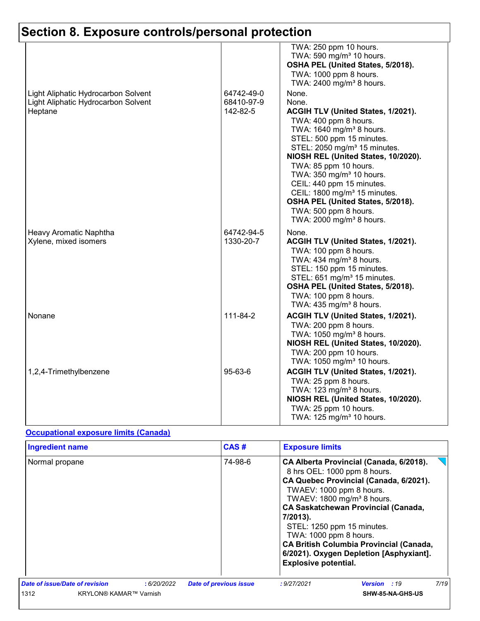|                                                 |                         | TWA: 250 ppm 10 hours.<br>TWA: 590 mg/m <sup>3</sup> 10 hours.<br>OSHA PEL (United States, 5/2018).<br>TWA: 1000 ppm 8 hours.<br>TWA: 2400 mg/m <sup>3</sup> 8 hours.                                                                                                                                                                                                                                                                                                               |
|-------------------------------------------------|-------------------------|-------------------------------------------------------------------------------------------------------------------------------------------------------------------------------------------------------------------------------------------------------------------------------------------------------------------------------------------------------------------------------------------------------------------------------------------------------------------------------------|
| Light Aliphatic Hydrocarbon Solvent             | 64742-49-0              | None.                                                                                                                                                                                                                                                                                                                                                                                                                                                                               |
| Light Aliphatic Hydrocarbon Solvent<br>Heptane  | 68410-97-9<br>142-82-5  | None.<br><b>ACGIH TLV (United States, 1/2021).</b><br>TWA: 400 ppm 8 hours.<br>TWA: 1640 mg/m <sup>3</sup> 8 hours.<br>STEL: 500 ppm 15 minutes.<br>STEL: 2050 mg/m <sup>3</sup> 15 minutes.<br>NIOSH REL (United States, 10/2020).<br>TWA: 85 ppm 10 hours.<br>TWA: 350 mg/m <sup>3</sup> 10 hours.<br>CEIL: 440 ppm 15 minutes.<br>CEIL: 1800 mg/m <sup>3</sup> 15 minutes.<br>OSHA PEL (United States, 5/2018).<br>TWA: 500 ppm 8 hours.<br>TWA: 2000 mg/m <sup>3</sup> 8 hours. |
| Heavy Aromatic Naphtha<br>Xylene, mixed isomers | 64742-94-5<br>1330-20-7 | None.<br>ACGIH TLV (United States, 1/2021).<br>TWA: 100 ppm 8 hours.<br>TWA: $434$ mg/m <sup>3</sup> 8 hours.<br>STEL: 150 ppm 15 minutes.<br>STEL: 651 mg/m <sup>3</sup> 15 minutes.<br>OSHA PEL (United States, 5/2018).<br>TWA: 100 ppm 8 hours.<br>TWA: 435 mg/m <sup>3</sup> 8 hours.                                                                                                                                                                                          |
| Nonane                                          | 111-84-2                | ACGIH TLV (United States, 1/2021).<br>TWA: 200 ppm 8 hours.<br>TWA: 1050 mg/m <sup>3</sup> 8 hours.<br>NIOSH REL (United States, 10/2020).<br>TWA: 200 ppm 10 hours.<br>TWA: 1050 mg/m <sup>3</sup> 10 hours.                                                                                                                                                                                                                                                                       |
| 1,2,4-Trimethylbenzene                          | 95-63-6                 | ACGIH TLV (United States, 1/2021).<br>TWA: 25 ppm 8 hours.<br>TWA: 123 mg/m <sup>3</sup> 8 hours.<br>NIOSH REL (United States, 10/2020).<br>TWA: 25 ppm 10 hours.<br>TWA: 125 mg/m <sup>3</sup> 10 hours.                                                                                                                                                                                                                                                                           |

#### **Occupational exposure limits (Canada)**

| <b>Ingredient name</b>         |            | CAS#                          | <b>Exposure limits</b>                                                                                                                                                                                                                                                                                                                                                                                                                |  |  |
|--------------------------------|------------|-------------------------------|---------------------------------------------------------------------------------------------------------------------------------------------------------------------------------------------------------------------------------------------------------------------------------------------------------------------------------------------------------------------------------------------------------------------------------------|--|--|
| Normal propane                 |            | 74-98-6                       | CA Alberta Provincial (Canada, 6/2018).<br>8 hrs OEL: 1000 ppm 8 hours.<br>CA Quebec Provincial (Canada, 6/2021).<br>TWAEV: 1000 ppm 8 hours.<br>TWAEV: 1800 mg/m <sup>3</sup> 8 hours.<br><b>CA Saskatchewan Provincial (Canada,</b><br>7/2013).<br>STEL: 1250 ppm 15 minutes.<br>TWA: 1000 ppm 8 hours.<br><b>CA British Columbia Provincial (Canada,</b><br>6/2021). Oxygen Depletion [Asphyxiant].<br><b>Explosive potential.</b> |  |  |
| Date of issue/Date of revision | :6/20/2022 | <b>Date of previous issue</b> | 7/19<br>: 9/27/2021<br><b>Version</b> : 19                                                                                                                                                                                                                                                                                                                                                                                            |  |  |
| 1312<br>KRYLON® KAMAR™ Varnish |            |                               | <b>SHW-85-NA-GHS-US</b>                                                                                                                                                                                                                                                                                                                                                                                                               |  |  |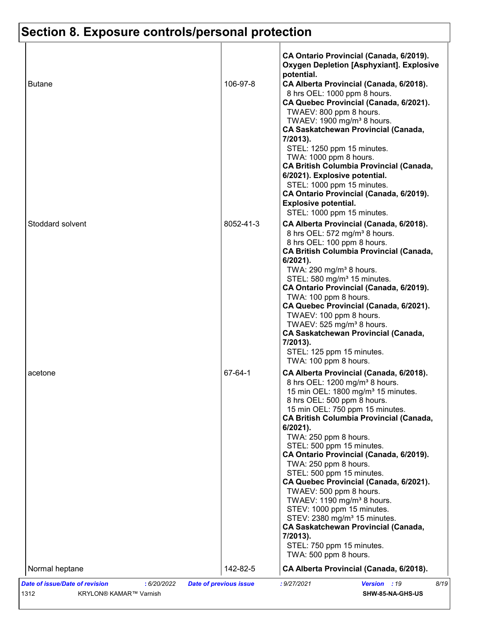| <b>Butane</b>    | 106-97-8  | CA Ontario Provincial (Canada, 6/2019).<br><b>Oxygen Depletion [Asphyxiant]. Explosive</b><br>potential.<br>CA Alberta Provincial (Canada, 6/2018).<br>8 hrs OEL: 1000 ppm 8 hours.<br>CA Quebec Provincial (Canada, 6/2021).<br>TWAEV: 800 ppm 8 hours.<br>TWAEV: 1900 mg/m <sup>3</sup> 8 hours.<br><b>CA Saskatchewan Provincial (Canada,</b><br>7/2013).<br>STEL: 1250 ppm 15 minutes.                                                                                                                                                                                                                                                                                                                                                |
|------------------|-----------|-------------------------------------------------------------------------------------------------------------------------------------------------------------------------------------------------------------------------------------------------------------------------------------------------------------------------------------------------------------------------------------------------------------------------------------------------------------------------------------------------------------------------------------------------------------------------------------------------------------------------------------------------------------------------------------------------------------------------------------------|
|                  |           | TWA: 1000 ppm 8 hours.<br><b>CA British Columbia Provincial (Canada,</b><br>6/2021). Explosive potential.<br>STEL: 1000 ppm 15 minutes.<br>CA Ontario Provincial (Canada, 6/2019).<br><b>Explosive potential.</b><br>STEL: 1000 ppm 15 minutes.                                                                                                                                                                                                                                                                                                                                                                                                                                                                                           |
| Stoddard solvent | 8052-41-3 | CA Alberta Provincial (Canada, 6/2018).<br>8 hrs OEL: 572 mg/m <sup>3</sup> 8 hours.<br>8 hrs OEL: 100 ppm 8 hours.<br><b>CA British Columbia Provincial (Canada,</b><br>$6/2021$ ).<br>TWA: 290 mg/m <sup>3</sup> 8 hours.<br>STEL: 580 mg/m <sup>3</sup> 15 minutes.<br>CA Ontario Provincial (Canada, 6/2019).<br>TWA: 100 ppm 8 hours.<br>CA Quebec Provincial (Canada, 6/2021).<br>TWAEV: 100 ppm 8 hours.<br>TWAEV: 525 mg/m <sup>3</sup> 8 hours.<br><b>CA Saskatchewan Provincial (Canada,</b><br>7/2013).<br>STEL: 125 ppm 15 minutes.<br>TWA: 100 ppm 8 hours.                                                                                                                                                                  |
| acetone          | 67-64-1   | CA Alberta Provincial (Canada, 6/2018).<br>8 hrs OEL: 1200 mg/m <sup>3</sup> 8 hours.<br>15 min OEL: 1800 mg/m <sup>3</sup> 15 minutes.<br>8 hrs OEL: 500 ppm 8 hours.<br>15 min OEL: 750 ppm 15 minutes.<br><b>CA British Columbia Provincial (Canada,</b><br>6/2021).<br>TWA: 250 ppm 8 hours.<br>STEL: 500 ppm 15 minutes.<br>CA Ontario Provincial (Canada, 6/2019).<br>TWA: 250 ppm 8 hours.<br>STEL: 500 ppm 15 minutes.<br>CA Quebec Provincial (Canada, 6/2021).<br>TWAEV: 500 ppm 8 hours.<br>TWAEV: $1190$ mg/m <sup>3</sup> 8 hours.<br>STEV: 1000 ppm 15 minutes.<br>STEV: 2380 mg/m <sup>3</sup> 15 minutes.<br><b>CA Saskatchewan Provincial (Canada,</b><br>7/2013).<br>STEL: 750 ppm 15 minutes.<br>TWA: 500 ppm 8 hours. |
| Normal heptane   | 142-82-5  | CA Alberta Provincial (Canada, 6/2018).                                                                                                                                                                                                                                                                                                                                                                                                                                                                                                                                                                                                                                                                                                   |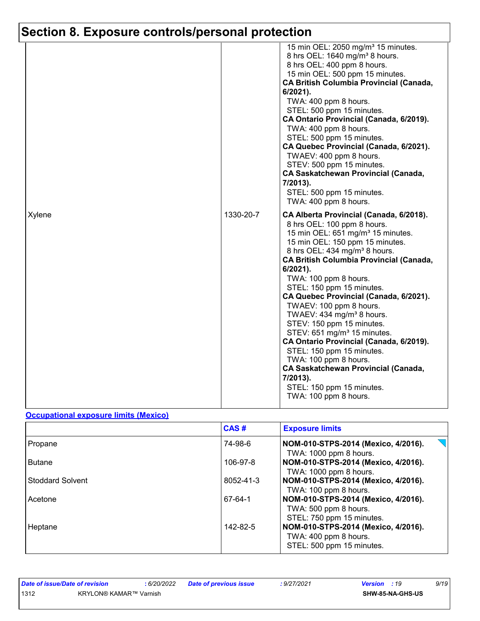|        |           | 15 min OEL: 2050 mg/m <sup>3</sup> 15 minutes.<br>8 hrs OEL: 1640 mg/m <sup>3</sup> 8 hours.<br>8 hrs OEL: 400 ppm 8 hours.<br>15 min OEL: 500 ppm 15 minutes.<br><b>CA British Columbia Provincial (Canada,</b><br>6/2021).<br>TWA: 400 ppm 8 hours.<br>STEL: 500 ppm 15 minutes.<br>CA Ontario Provincial (Canada, 6/2019).<br>TWA: 400 ppm 8 hours.<br>STEL: 500 ppm 15 minutes.<br>CA Quebec Provincial (Canada, 6/2021).<br>TWAEV: 400 ppm 8 hours.<br>STEV: 500 ppm 15 minutes.<br><b>CA Saskatchewan Provincial (Canada,</b><br>7/2013).<br>STEL: 500 ppm 15 minutes.                                                                                                                                                                                |
|--------|-----------|-------------------------------------------------------------------------------------------------------------------------------------------------------------------------------------------------------------------------------------------------------------------------------------------------------------------------------------------------------------------------------------------------------------------------------------------------------------------------------------------------------------------------------------------------------------------------------------------------------------------------------------------------------------------------------------------------------------------------------------------------------------|
| Xylene | 1330-20-7 | TWA: 400 ppm 8 hours.<br>CA Alberta Provincial (Canada, 6/2018).<br>8 hrs OEL: 100 ppm 8 hours.<br>15 min OEL: 651 mg/m <sup>3</sup> 15 minutes.<br>15 min OEL: 150 ppm 15 minutes.<br>8 hrs OEL: 434 mg/m <sup>3</sup> 8 hours.<br><b>CA British Columbia Provincial (Canada,</b><br>6/2021).<br>TWA: 100 ppm 8 hours.<br>STEL: 150 ppm 15 minutes.<br>CA Quebec Provincial (Canada, 6/2021).<br>TWAEV: 100 ppm 8 hours.<br>TWAEV: 434 mg/m <sup>3</sup> 8 hours.<br>STEV: 150 ppm 15 minutes.<br>STEV: 651 mg/m <sup>3</sup> 15 minutes.<br>CA Ontario Provincial (Canada, 6/2019).<br>STEL: 150 ppm 15 minutes.<br>TWA: 100 ppm 8 hours.<br><b>CA Saskatchewan Provincial (Canada,</b><br>7/2013).<br>STEL: 150 ppm 15 minutes.<br>TWA: 100 ppm 8 hours. |

#### **Occupational exposure limits (Mexico)**

|                         | CAS#      | <b>Exposure limits</b>                                                                    |
|-------------------------|-----------|-------------------------------------------------------------------------------------------|
| Propane                 | 74-98-6   | NOM-010-STPS-2014 (Mexico, 4/2016).<br>TWA: 1000 ppm 8 hours.                             |
| <b>Butane</b>           | 106-97-8  | NOM-010-STPS-2014 (Mexico, 4/2016).<br>TWA: 1000 ppm 8 hours.                             |
| <b>Stoddard Solvent</b> | 8052-41-3 | NOM-010-STPS-2014 (Mexico, 4/2016).<br>TWA: 100 ppm 8 hours.                              |
| Acetone                 | 67-64-1   | NOM-010-STPS-2014 (Mexico, 4/2016).<br>TWA: 500 ppm 8 hours.<br>STEL: 750 ppm 15 minutes. |
| Heptane                 | 142-82-5  | NOM-010-STPS-2014 (Mexico, 4/2016).<br>TWA: 400 ppm 8 hours.<br>STEL: 500 ppm 15 minutes. |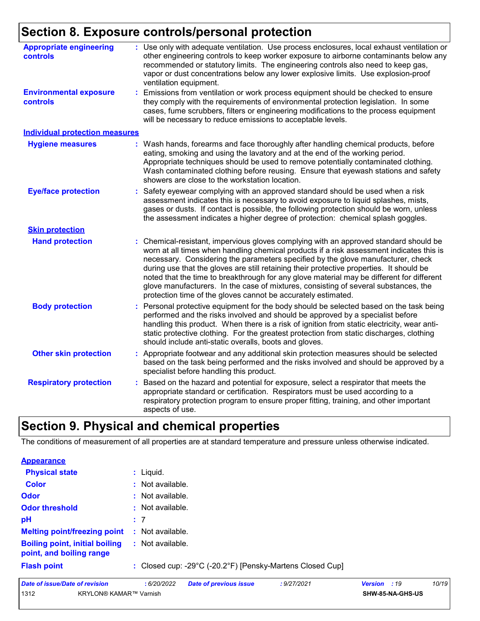| <b>Appropriate engineering</b><br>controls | : Use only with adequate ventilation. Use process enclosures, local exhaust ventilation or<br>other engineering controls to keep worker exposure to airborne contaminants below any<br>recommended or statutory limits. The engineering controls also need to keep gas,<br>vapor or dust concentrations below any lower explosive limits. Use explosion-proof<br>ventilation equipment.                                                                                                                                                                                                                                |
|--------------------------------------------|------------------------------------------------------------------------------------------------------------------------------------------------------------------------------------------------------------------------------------------------------------------------------------------------------------------------------------------------------------------------------------------------------------------------------------------------------------------------------------------------------------------------------------------------------------------------------------------------------------------------|
| <b>Environmental exposure</b><br>controls  | Emissions from ventilation or work process equipment should be checked to ensure<br>t.<br>they comply with the requirements of environmental protection legislation. In some<br>cases, fume scrubbers, filters or engineering modifications to the process equipment<br>will be necessary to reduce emissions to acceptable levels.                                                                                                                                                                                                                                                                                    |
| <b>Individual protection measures</b>      |                                                                                                                                                                                                                                                                                                                                                                                                                                                                                                                                                                                                                        |
| <b>Hygiene measures</b>                    | : Wash hands, forearms and face thoroughly after handling chemical products, before<br>eating, smoking and using the lavatory and at the end of the working period.<br>Appropriate techniques should be used to remove potentially contaminated clothing.<br>Wash contaminated clothing before reusing. Ensure that eyewash stations and safety<br>showers are close to the workstation location.                                                                                                                                                                                                                      |
| <b>Eye/face protection</b>                 | Safety eyewear complying with an approved standard should be used when a risk<br>assessment indicates this is necessary to avoid exposure to liquid splashes, mists,<br>gases or dusts. If contact is possible, the following protection should be worn, unless<br>the assessment indicates a higher degree of protection: chemical splash goggles.                                                                                                                                                                                                                                                                    |
| <b>Skin protection</b>                     |                                                                                                                                                                                                                                                                                                                                                                                                                                                                                                                                                                                                                        |
| <b>Hand protection</b>                     | : Chemical-resistant, impervious gloves complying with an approved standard should be<br>worn at all times when handling chemical products if a risk assessment indicates this is<br>necessary. Considering the parameters specified by the glove manufacturer, check<br>during use that the gloves are still retaining their protective properties. It should be<br>noted that the time to breakthrough for any glove material may be different for different<br>glove manufacturers. In the case of mixtures, consisting of several substances, the<br>protection time of the gloves cannot be accurately estimated. |
| <b>Body protection</b>                     | Personal protective equipment for the body should be selected based on the task being<br>performed and the risks involved and should be approved by a specialist before<br>handling this product. When there is a risk of ignition from static electricity, wear anti-<br>static protective clothing. For the greatest protection from static discharges, clothing<br>should include anti-static overalls, boots and gloves.                                                                                                                                                                                           |
| <b>Other skin protection</b>               | : Appropriate footwear and any additional skin protection measures should be selected<br>based on the task being performed and the risks involved and should be approved by a<br>specialist before handling this product.                                                                                                                                                                                                                                                                                                                                                                                              |
| <b>Respiratory protection</b>              | Based on the hazard and potential for exposure, select a respirator that meets the<br>appropriate standard or certification. Respirators must be used according to a<br>respiratory protection program to ensure proper fitting, training, and other important<br>aspects of use.                                                                                                                                                                                                                                                                                                                                      |

### **Section 9. Physical and chemical properties**

The conditions of measurement of all properties are at standard temperature and pressure unless otherwise indicated.

| <b>Appearance</b>                                                 |                                                           |
|-------------------------------------------------------------------|-----------------------------------------------------------|
| <b>Physical state</b>                                             | $:$ Liquid.                                               |
| <b>Color</b>                                                      | : Not available.                                          |
| Odor                                                              | : Not available.                                          |
| <b>Odor threshold</b>                                             | : Not available.                                          |
| pH                                                                | :7                                                        |
| <b>Melting point/freezing point</b>                               | Not available.<br>÷.                                      |
| <b>Boiling point, initial boiling</b><br>point, and boiling range | : Not available.                                          |
| <b>Flash point</b>                                                | : Closed cup: -29°C (-20.2°F) [Pensky-Martens Closed Cup] |
|                                                                   |                                                           |

| Date of issue/Date of revision |                        | : 6/20/2022 | <b>Date of previous issue</b> | : 9/27/2021 | <b>Version</b> : 19 | 10/19 |
|--------------------------------|------------------------|-------------|-------------------------------|-------------|---------------------|-------|
| 1312                           | KRYLON® KAMAR™ Varnish |             |                               |             | SHW-85-NA-GHS-US    |       |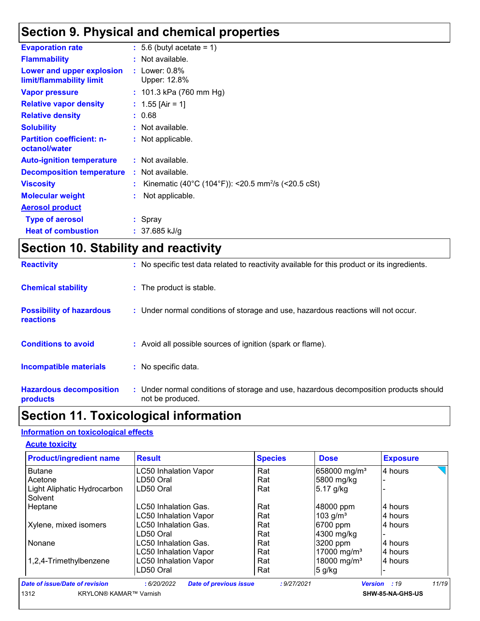### **Section 9. Physical and chemical properties**

| <b>Evaporation rate</b>                               | $\div$ 5.6 (butyl acetate = 1)                                 |
|-------------------------------------------------------|----------------------------------------------------------------|
| <b>Flammability</b>                                   | : Not available.                                               |
| Lower and upper explosion<br>limit/flammability limit | $:$ Lower: $0.8\%$<br>Upper: 12.8%                             |
| <b>Vapor pressure</b>                                 | : $101.3$ kPa (760 mm Hg)                                      |
| <b>Relative vapor density</b>                         | : $1.55$ [Air = 1]                                             |
| <b>Relative density</b>                               | : 0.68                                                         |
| <b>Solubility</b>                                     | : Not available.                                               |
| <b>Partition coefficient: n-</b><br>octanol/water     | : Not applicable.                                              |
| <b>Auto-ignition temperature</b>                      | : Not available.                                               |
| <b>Decomposition temperature</b>                      | : Not available.                                               |
| <b>Viscosity</b>                                      | Kinematic (40°C (104°F)): <20.5 mm <sup>2</sup> /s (<20.5 cSt) |
| <b>Molecular weight</b>                               | Not applicable.                                                |
| <b>Aerosol product</b>                                |                                                                |
| <b>Type of aerosol</b>                                | : Spray                                                        |
| <b>Heat of combustion</b>                             | $: 37.685$ kJ/g                                                |
|                                                       |                                                                |

### **Section 10. Stability and reactivity**

| <b>Reactivity</b>                            | : No specific test data related to reactivity available for this product or its ingredients.              |
|----------------------------------------------|-----------------------------------------------------------------------------------------------------------|
| <b>Chemical stability</b>                    | : The product is stable.                                                                                  |
| <b>Possibility of hazardous</b><br>reactions | : Under normal conditions of storage and use, hazardous reactions will not occur.                         |
| <b>Conditions to avoid</b>                   | : Avoid all possible sources of ignition (spark or flame).                                                |
| <b>Incompatible materials</b>                | No specific data.                                                                                         |
| <b>Hazardous decomposition</b><br>products   | : Under normal conditions of storage and use, hazardous decomposition products should<br>not be produced. |

### **Section 11. Toxicological information**

#### **Information on toxicological effects**

#### **Acute toxicity**

| <b>Result</b>                | <b>Species</b> | <b>Dose</b>              | <b>Exposure</b> |
|------------------------------|----------------|--------------------------|-----------------|
| <b>LC50 Inhalation Vapor</b> | Rat            | 658000 mg/m <sup>3</sup> | 4 hours         |
| LD50 Oral                    | Rat            | 5800 mg/kg               |                 |
| LD50 Oral                    | Rat            | 5.17 g/kg                |                 |
| LC50 Inhalation Gas.         | Rat            | 48000 ppm                | 4 hours         |
| <b>LC50 Inhalation Vapor</b> | Rat            | 103 $g/m3$               | 4 hours         |
| <b>LC50 Inhalation Gas.</b>  | Rat            | 6700 ppm                 | 4 hours         |
| LD50 Oral                    | Rat            | 4300 mg/kg               |                 |
| LC50 Inhalation Gas.         | Rat            | 3200 ppm                 | 4 hours         |
| <b>LC50 Inhalation Vapor</b> | Rat            | 17000 mg/m <sup>3</sup>  | 4 hours         |
| <b>LC50 Inhalation Vapor</b> | Rat            | 18000 mg/m <sup>3</sup>  | 4 hours         |
| LD50 Oral                    | Rat            | 5 g/kg                   |                 |
|                              |                |                          |                 |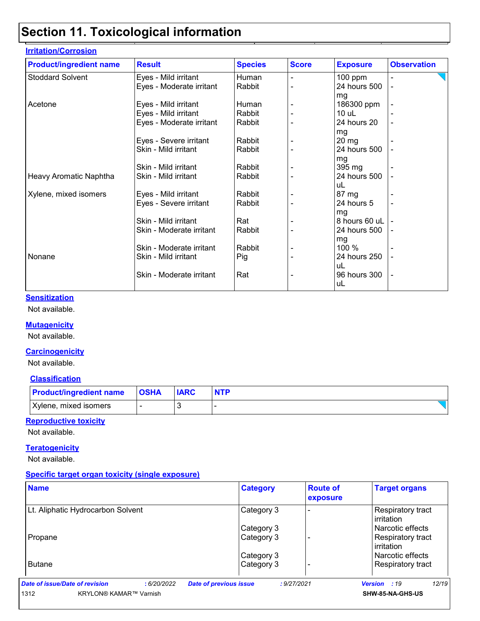| <b>Irritation/Corrosion</b>    |                          |                |              |                 |                    |
|--------------------------------|--------------------------|----------------|--------------|-----------------|--------------------|
| <b>Product/ingredient name</b> | <b>Result</b>            | <b>Species</b> | <b>Score</b> | <b>Exposure</b> | <b>Observation</b> |
| <b>Stoddard Solvent</b>        | Eyes - Mild irritant     | Human          |              | $100$ ppm       |                    |
|                                | Eyes - Moderate irritant | Rabbit         |              | 24 hours 500    |                    |
|                                |                          |                |              | mg              |                    |
| Acetone                        | Eyes - Mild irritant     | Human          |              | 186300 ppm      |                    |
|                                | Eyes - Mild irritant     | Rabbit         |              | $10$ uL         |                    |
|                                | Eyes - Moderate irritant | Rabbit         |              | 24 hours 20     |                    |
|                                |                          |                |              | mg              |                    |
|                                | Eyes - Severe irritant   | Rabbit         |              | $20 \, mg$      |                    |
|                                | Skin - Mild irritant     | Rabbit         |              | 24 hours 500    |                    |
|                                |                          |                |              | mg              |                    |
|                                | Skin - Mild irritant     | Rabbit         |              | 395 mg          |                    |
| Heavy Aromatic Naphtha         | Skin - Mild irritant     | Rabbit         |              | 24 hours 500    |                    |
|                                |                          |                |              | uL              |                    |
| Xylene, mixed isomers          | Eyes - Mild irritant     | Rabbit         |              | 87 mg           |                    |
|                                | Eyes - Severe irritant   | Rabbit         |              | 24 hours 5      |                    |
|                                |                          |                |              | mg              |                    |
|                                | Skin - Mild irritant     | Rat            |              | 8 hours 60 uL   |                    |
|                                | Skin - Moderate irritant | Rabbit         |              | 24 hours 500    |                    |
|                                |                          |                |              | mg              |                    |
|                                | Skin - Moderate irritant | Rabbit         |              | 100 %           |                    |
| Nonane                         | Skin - Mild irritant     | Pig            |              | 24 hours 250    |                    |
|                                |                          |                |              | uL              |                    |
|                                | Skin - Moderate irritant | Rat            |              | 96 hours 300    |                    |
|                                |                          |                |              | uL              |                    |

#### **Sensitization**

Not available.

#### **Mutagenicity**

Not available.

#### **Carcinogenicity**

Not available.

#### **Classification**

| <b>Product/ingredient name</b> | <b>OSHA</b> | <b>IARC</b> | <b>NTP</b> |
|--------------------------------|-------------|-------------|------------|
| Xylene, mixed isomers          |             |             |            |

#### **Reproductive toxicity**

Not available.

#### **Teratogenicity**

Not available.

#### **Specific target organ toxicity (single exposure)**

| <b>Name</b>                                  | <b>Category</b>                              | <b>Route of</b><br>exposure | <b>Target organs</b>            |
|----------------------------------------------|----------------------------------------------|-----------------------------|---------------------------------|
| Lt. Aliphatic Hydrocarbon Solvent            | Category 3                                   |                             | Respiratory tract<br>irritation |
|                                              | Category 3                                   |                             | l Narcotic effects              |
| Propane                                      | Category 3                                   |                             | Respiratory tract<br>irritation |
|                                              | Category 3                                   |                             | l Narcotic effects              |
| <b>Butane</b>                                | Category 3                                   |                             | Respiratory tract               |
| Date of issue/Date of revision<br>:6/20/2022 | <b>Date of previous issue</b><br>: 9/27/2021 |                             | 12/19<br>Version : 19           |
| 1312<br><b>KRYLON® KAMAR™ Varnish</b>        |                                              |                             | SHW-85-NA-GHS-US                |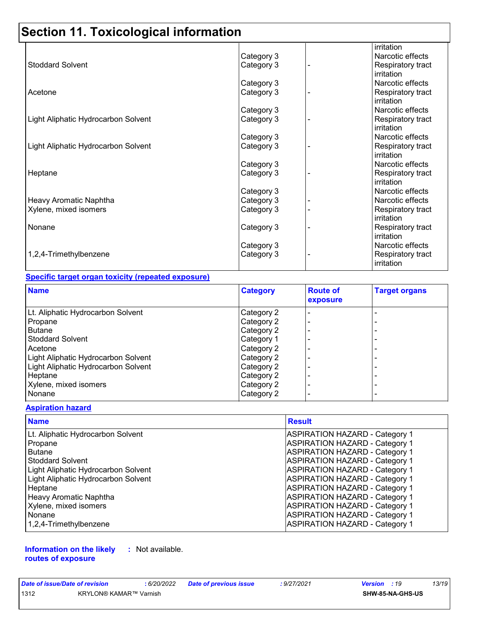|                                     |            | irritation        |
|-------------------------------------|------------|-------------------|
|                                     | Category 3 | Narcotic effects  |
| <b>Stoddard Solvent</b>             | Category 3 | Respiratory tract |
|                                     |            | irritation        |
|                                     | Category 3 | Narcotic effects  |
| Acetone                             | Category 3 | Respiratory tract |
|                                     |            | irritation        |
|                                     | Category 3 | Narcotic effects  |
| Light Aliphatic Hydrocarbon Solvent | Category 3 | Respiratory tract |
|                                     |            | irritation        |
|                                     | Category 3 | Narcotic effects  |
| Light Aliphatic Hydrocarbon Solvent | Category 3 | Respiratory tract |
|                                     |            | irritation        |
|                                     | Category 3 | Narcotic effects  |
| Heptane                             | Category 3 | Respiratory tract |
|                                     |            | irritation        |
|                                     | Category 3 | Narcotic effects  |
| Heavy Aromatic Naphtha              | Category 3 | Narcotic effects  |
| Xylene, mixed isomers               | Category 3 | Respiratory tract |
|                                     |            | irritation        |
| Nonane                              | Category 3 | Respiratory tract |
|                                     |            | irritation        |
|                                     | Category 3 | Narcotic effects  |
| 1,2,4-Trimethylbenzene              | Category 3 | Respiratory tract |
|                                     |            | irritation        |

#### **Specific target organ toxicity (repeated exposure)**

| <b>Name</b>                         | <b>Category</b> | <b>Route of</b><br>exposure | <b>Target organs</b> |
|-------------------------------------|-----------------|-----------------------------|----------------------|
| Lt. Aliphatic Hydrocarbon Solvent   | Category 2      |                             |                      |
| Propane                             | Category 2      |                             |                      |
| <b>Butane</b>                       | Category 2      |                             |                      |
| Stoddard Solvent                    | Category 1      |                             |                      |
| l Acetone                           | Category 2      |                             |                      |
| Light Aliphatic Hydrocarbon Solvent | Category 2      |                             |                      |
| Light Aliphatic Hydrocarbon Solvent | Category 2      |                             |                      |
| Heptane                             | Category 2      |                             |                      |
| Xylene, mixed isomers               | Category 2      |                             |                      |
| Nonane                              | Category 2      |                             |                      |

#### **Aspiration hazard**

| <b>Name</b>                         | <b>Result</b>                         |
|-------------------------------------|---------------------------------------|
| Lt. Aliphatic Hydrocarbon Solvent   | <b>ASPIRATION HAZARD - Category 1</b> |
| Propane                             | <b>ASPIRATION HAZARD - Category 1</b> |
| Butane                              | <b>ASPIRATION HAZARD - Category 1</b> |
| <b>Stoddard Solvent</b>             | <b>ASPIRATION HAZARD - Category 1</b> |
| Light Aliphatic Hydrocarbon Solvent | <b>ASPIRATION HAZARD - Category 1</b> |
| Light Aliphatic Hydrocarbon Solvent | <b>ASPIRATION HAZARD - Category 1</b> |
| Heptane                             | <b>ASPIRATION HAZARD - Category 1</b> |
| Heavy Aromatic Naphtha              | <b>ASPIRATION HAZARD - Category 1</b> |
| Xylene, mixed isomers               | <b>ASPIRATION HAZARD - Category 1</b> |
| Nonane                              | <b>ASPIRATION HAZARD - Category 1</b> |
| 1,2,4-Trimethylbenzene              | <b>ASPIRATION HAZARD - Category 1</b> |

**Information on the likely routes of exposure :** Not available.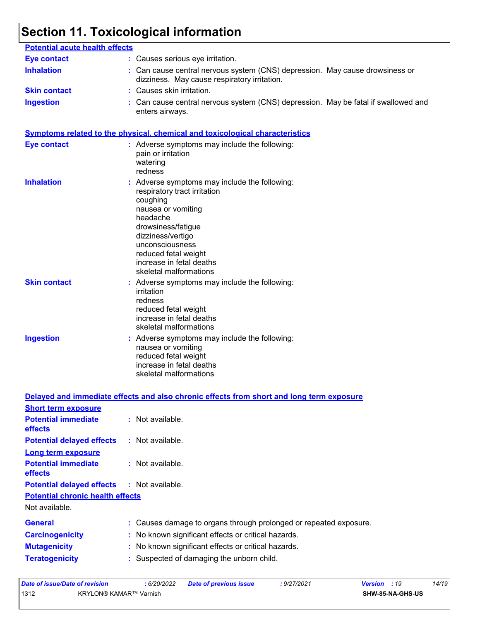| <b>Potential acute health effects</b> |                                                                                                                                                                                                                                                                         |
|---------------------------------------|-------------------------------------------------------------------------------------------------------------------------------------------------------------------------------------------------------------------------------------------------------------------------|
| <b>Eye contact</b>                    | : Causes serious eye irritation.                                                                                                                                                                                                                                        |
| <b>Inhalation</b>                     | : Can cause central nervous system (CNS) depression. May cause drowsiness or<br>dizziness. May cause respiratory irritation.                                                                                                                                            |
| <b>Skin contact</b>                   | : Causes skin irritation.                                                                                                                                                                                                                                               |
| <b>Ingestion</b>                      | : Can cause central nervous system (CNS) depression. May be fatal if swallowed and<br>enters airways.                                                                                                                                                                   |
|                                       | <b>Symptoms related to the physical, chemical and toxicological characteristics</b>                                                                                                                                                                                     |
| <b>Eye contact</b>                    | : Adverse symptoms may include the following:<br>pain or irritation<br>watering<br>redness                                                                                                                                                                              |
| <b>Inhalation</b>                     | : Adverse symptoms may include the following:<br>respiratory tract irritation<br>coughing<br>nausea or vomiting<br>headache<br>drowsiness/fatigue<br>dizziness/vertigo<br>unconsciousness<br>reduced fetal weight<br>increase in fetal deaths<br>skeletal malformations |
| <b>Skin contact</b>                   | : Adverse symptoms may include the following:<br>irritation<br>redness<br>reduced fetal weight<br>increase in fetal deaths<br>skeletal malformations                                                                                                                    |
| <b>Ingestion</b>                      | : Adverse symptoms may include the following:<br>nausea or vomiting<br>reduced fetal weight<br>increase in fetal deaths<br>skeletal malformations                                                                                                                       |
|                                       | Delayed and immediate effects and also chronic effects from short and long term exposure                                                                                                                                                                                |

| <b>Short term exposure</b>                        |                                                                   |  |
|---------------------------------------------------|-------------------------------------------------------------------|--|
| <b>Potential immediate</b><br>effects             | : Not available.                                                  |  |
| <b>Potential delayed effects : Not available.</b> |                                                                   |  |
| <b>Long term exposure</b>                         |                                                                   |  |
| <b>Potential immediate</b><br><b>effects</b>      | : Not available.                                                  |  |
| <b>Potential delayed effects : Not available.</b> |                                                                   |  |
| <b>Potential chronic health effects</b>           |                                                                   |  |
| Not available.                                    |                                                                   |  |
| <b>General</b>                                    | : Causes damage to organs through prolonged or repeated exposure. |  |
| <b>Carcinogenicity</b>                            | : No known significant effects or critical hazards.               |  |
| <b>Mutagenicity</b>                               | : No known significant effects or critical hazards.               |  |
| <b>Teratogenicity</b>                             | : Suspected of damaging the unborn child.                         |  |
|                                                   |                                                                   |  |

| Date of issue/Date of revision |                        | 6/20/2022 | <b>Date of previous issue</b> | : 9/27/2021 | <b>Version</b> : 19 |                         | 14/19 |
|--------------------------------|------------------------|-----------|-------------------------------|-------------|---------------------|-------------------------|-------|
| 1312                           | KRYLON® KAMAR™ Varnish |           |                               |             |                     | <b>SHW-85-NA-GHS-US</b> |       |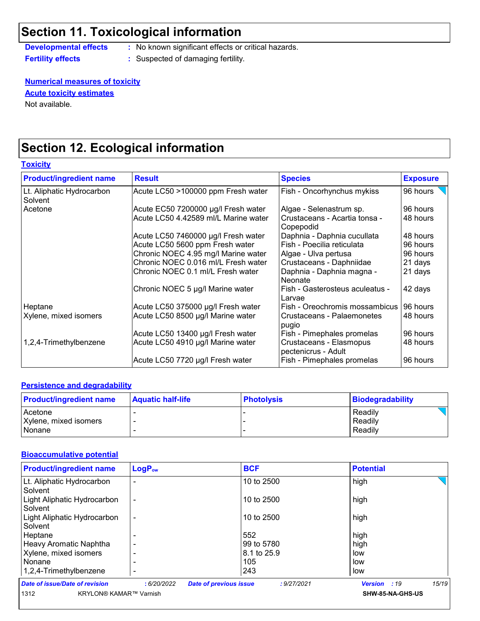**Developmental effects :** No known significant effects or critical hazards.

**Fertility effects :** Suspected of damaging fertility.

#### **Numerical measures of toxicity**

**Acute toxicity estimates**

Not available.

## **Section 12. Ecological information**

**Toxicity**

| <b>Product/ingredient name</b>       | <b>Result</b>                        | <b>Species</b>                                 | <b>Exposure</b> |
|--------------------------------------|--------------------------------------|------------------------------------------------|-----------------|
| Lt. Aliphatic Hydrocarbon<br>Solvent | Acute LC50 >100000 ppm Fresh water   | Fish - Oncorhynchus mykiss                     | 96 hours        |
| Acetone                              | Acute EC50 7200000 µg/l Fresh water  | Algae - Selenastrum sp.                        | 96 hours        |
|                                      | Acute LC50 4.42589 ml/L Marine water | Crustaceans - Acartia tonsa -<br>Copepodid     | 48 hours        |
|                                      | Acute LC50 7460000 µg/l Fresh water  | Daphnia - Daphnia cucullata                    | 48 hours        |
|                                      | Acute LC50 5600 ppm Fresh water      | Fish - Poecilia reticulata                     | 96 hours        |
|                                      | Chronic NOEC 4.95 mg/l Marine water  | Algae - Ulva pertusa                           | 96 hours        |
|                                      | Chronic NOEC 0.016 ml/L Fresh water  | Crustaceans - Daphniidae                       | 21 days         |
|                                      | Chronic NOEC 0.1 ml/L Fresh water    | Daphnia - Daphnia magna -<br>Neonate           | 21 days         |
|                                      | Chronic NOEC 5 µg/l Marine water     | Fish - Gasterosteus aculeatus -<br>Larvae      | 42 days         |
| Heptane                              | Acute LC50 375000 µg/l Fresh water   | Fish - Oreochromis mossambicus                 | 96 hours        |
| Xylene, mixed isomers                | Acute LC50 8500 µg/l Marine water    | Crustaceans - Palaemonetes<br>pugio            | 48 hours        |
|                                      | Acute LC50 13400 µg/l Fresh water    | Fish - Pimephales promelas                     | 96 hours        |
| 1,2,4-Trimethylbenzene               | Acute LC50 4910 µg/l Marine water    | Crustaceans - Elasmopus<br>pectenicrus - Adult | 48 hours        |
|                                      | Acute LC50 7720 µg/l Fresh water     | Fish - Pimephales promelas                     | 96 hours        |

#### **Persistence and degradability**

| <b>Product/ingredient name</b> | <b>Aquatic half-life</b> | <b>Photolysis</b> | Biodegradability |
|--------------------------------|--------------------------|-------------------|------------------|
| Acetone                        |                          |                   | Readily          |
| Xylene, mixed isomers          |                          |                   | Readily          |
| Nonane                         |                          |                   | Readily          |

#### **Bioaccumulative potential**

| <b>Product/ingredient name</b>         | LogP <sub>ow</sub> | <b>BCF</b>                                   | <b>Potential</b>    |       |
|----------------------------------------|--------------------|----------------------------------------------|---------------------|-------|
| Lt. Aliphatic Hydrocarbon<br>Solvent   |                    | 10 to 2500                                   | high                |       |
| Light Aliphatic Hydrocarbon<br>Solvent |                    | 10 to 2500                                   | high                |       |
| Light Aliphatic Hydrocarbon<br>Solvent |                    | 10 to 2500                                   | high                |       |
| Heptane                                |                    | 552                                          | high                |       |
| Heavy Aromatic Naphtha                 |                    | 99 to 5780                                   | high                |       |
| Xylene, mixed isomers                  |                    | 18.1 to 25.9                                 | low                 |       |
| Nonane                                 |                    | 105                                          | low                 |       |
| 1,2,4-Trimethylbenzene                 |                    | 243                                          | low                 |       |
| Date of issue/Date of revision         | : 6/20/2022        | <b>Date of previous issue</b><br>: 9/27/2021 | <b>Version</b> : 19 | 15/19 |
| KRYLON® KAMAR™ Varnish<br>1312         |                    |                                              | SHW-85-NA-GHS-US    |       |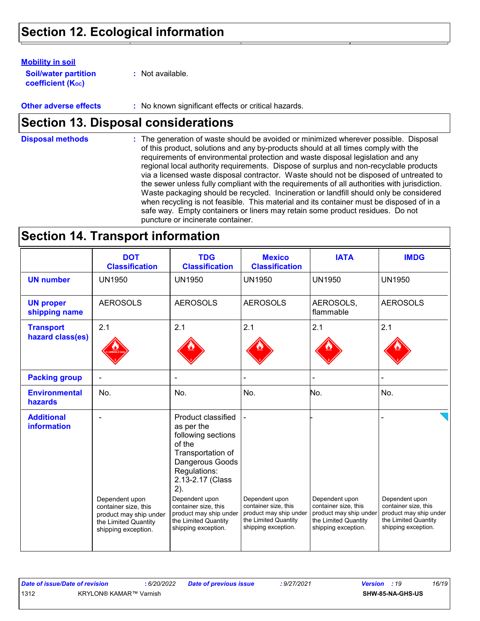#### **Mobility in soil**

**Soil/water partition coefficient (Koc)** 

**:** Not available.

**Other adverse effects** : No known significant effects or critical hazards.

### **Section 13. Disposal considerations**

The generation of waste should be avoided or minimized wherever possible. Disposal of this product, solutions and any by-products should at all times comply with the requirements of environmental protection and waste disposal legislation and any regional local authority requirements. Dispose of surplus and non-recyclable products via a licensed waste disposal contractor. Waste should not be disposed of untreated to the sewer unless fully compliant with the requirements of all authorities with jurisdiction. Waste packaging should be recycled. Incineration or landfill should only be considered when recycling is not feasible. This material and its container must be disposed of in a safe way. Empty containers or liners may retain some product residues. Do not puncture or incinerate container. **Disposal methods :**

### **Section 14. Transport information**

|                                         | <b>DOT</b><br><b>Classification</b>                                                                             | <b>TDG</b><br><b>Classification</b>                                                                                                                                                                                                                                    | <b>Mexico</b><br><b>Classification</b>                                                                          | <b>IATA</b>                                                                                                     | <b>IMDG</b>                                                                                                     |
|-----------------------------------------|-----------------------------------------------------------------------------------------------------------------|------------------------------------------------------------------------------------------------------------------------------------------------------------------------------------------------------------------------------------------------------------------------|-----------------------------------------------------------------------------------------------------------------|-----------------------------------------------------------------------------------------------------------------|-----------------------------------------------------------------------------------------------------------------|
| <b>UN number</b>                        | <b>UN1950</b>                                                                                                   | <b>UN1950</b>                                                                                                                                                                                                                                                          | <b>UN1950</b>                                                                                                   | <b>UN1950</b>                                                                                                   | <b>UN1950</b>                                                                                                   |
| <b>UN proper</b><br>shipping name       | <b>AEROSOLS</b>                                                                                                 | <b>AEROSOLS</b>                                                                                                                                                                                                                                                        | <b>AEROSOLS</b>                                                                                                 | AEROSOLS,<br>flammable                                                                                          | <b>AEROSOLS</b>                                                                                                 |
| <b>Transport</b><br>hazard class(es)    | 2.1                                                                                                             | 2.1                                                                                                                                                                                                                                                                    | 2.1                                                                                                             | 2.1                                                                                                             | 2.1                                                                                                             |
| <b>Packing group</b>                    |                                                                                                                 |                                                                                                                                                                                                                                                                        |                                                                                                                 |                                                                                                                 |                                                                                                                 |
| <b>Environmental</b><br>hazards         | No.                                                                                                             | No.                                                                                                                                                                                                                                                                    | No.                                                                                                             | No.                                                                                                             | No.                                                                                                             |
| <b>Additional</b><br><b>information</b> | Dependent upon<br>container size, this<br>product may ship under<br>the Limited Quantity<br>shipping exception. | Product classified<br>as per the<br>following sections<br>of the<br>Transportation of<br>Dangerous Goods<br>Regulations:<br>2.13-2.17 (Class<br>2).<br>Dependent upon<br>container size, this<br>product may ship under<br>the Limited Quantity<br>shipping exception. | Dependent upon<br>container size, this<br>product may ship under<br>the Limited Quantity<br>shipping exception. | Dependent upon<br>container size, this<br>product may ship under<br>the Limited Quantity<br>shipping exception. | Dependent upon<br>container size, this<br>product may ship under<br>the Limited Quantity<br>shipping exception. |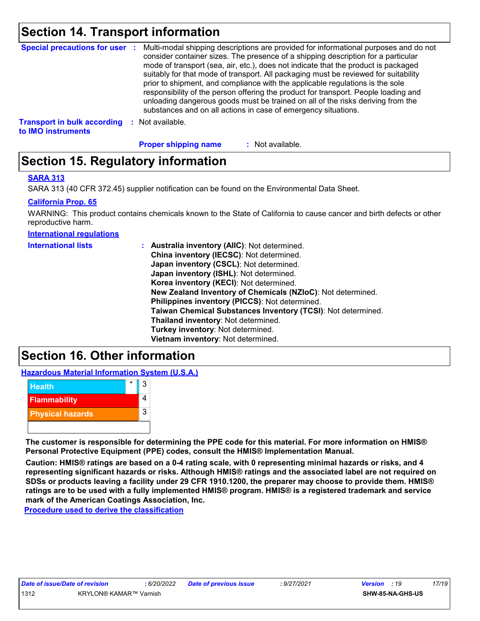### **Section 14. Transport information**

|                                    | Special precautions for user : Multi-modal shipping descriptions are provided for informational purposes and do not<br>consider container sizes. The presence of a shipping description for a particular<br>mode of transport (sea, air, etc.), does not indicate that the product is packaged<br>suitably for that mode of transport. All packaging must be reviewed for suitability<br>prior to shipment, and compliance with the applicable regulations is the sole<br>responsibility of the person offering the product for transport. People loading and<br>unloading dangerous goods must be trained on all of the risks deriving from the<br>substances and on all actions in case of emergency situations. |
|------------------------------------|--------------------------------------------------------------------------------------------------------------------------------------------------------------------------------------------------------------------------------------------------------------------------------------------------------------------------------------------------------------------------------------------------------------------------------------------------------------------------------------------------------------------------------------------------------------------------------------------------------------------------------------------------------------------------------------------------------------------|
| <b>Transport in bulk according</b> | Not available.                                                                                                                                                                                                                                                                                                                                                                                                                                                                                                                                                                                                                                                                                                     |

**to IMO instruments**

: Not available. **Proper shipping name :**

### **Section 15. Regulatory information**

#### **SARA 313**

SARA 313 (40 CFR 372.45) supplier notification can be found on the Environmental Data Sheet.

#### **California Prop. 65**

WARNING: This product contains chemicals known to the State of California to cause cancer and birth defects or other reproductive harm.

**International regulations**

| <b>International lists</b> | : Australia inventory (AIIC): Not determined.<br>China inventory (IECSC): Not determined.<br>Japan inventory (CSCL): Not determined.<br>Japan inventory (ISHL): Not determined.<br>Korea inventory (KECI): Not determined.<br>New Zealand Inventory of Chemicals (NZIoC): Not determined.<br>Philippines inventory (PICCS): Not determined.<br>Taiwan Chemical Substances Inventory (TCSI): Not determined.<br>Thailand inventory: Not determined.<br>Turkey inventory: Not determined. |
|----------------------------|-----------------------------------------------------------------------------------------------------------------------------------------------------------------------------------------------------------------------------------------------------------------------------------------------------------------------------------------------------------------------------------------------------------------------------------------------------------------------------------------|
|                            | Vietnam inventory: Not determined.                                                                                                                                                                                                                                                                                                                                                                                                                                                      |
|                            |                                                                                                                                                                                                                                                                                                                                                                                                                                                                                         |

### **Section 16. Other information**

**Hazardous Material Information System (U.S.A.)**



**The customer is responsible for determining the PPE code for this material. For more information on HMIS® Personal Protective Equipment (PPE) codes, consult the HMIS® Implementation Manual.**

**Caution: HMIS® ratings are based on a 0-4 rating scale, with 0 representing minimal hazards or risks, and 4 representing significant hazards or risks. Although HMIS® ratings and the associated label are not required on SDSs or products leaving a facility under 29 CFR 1910.1200, the preparer may choose to provide them. HMIS® ratings are to be used with a fully implemented HMIS® program. HMIS® is a registered trademark and service mark of the American Coatings Association, Inc.**

**Procedure used to derive the classification**